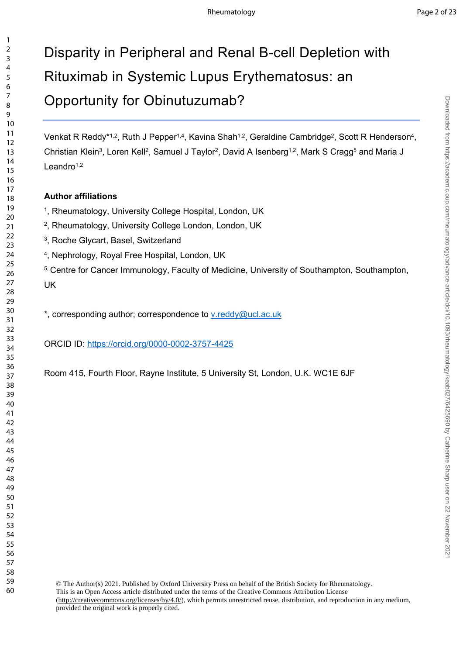Downloaded from https://academic.oup.com/rheumatology/advance-article/doi/10.11093/rheumatology/keab827/6425690 by Catherine Sharp user on 22 November 202 Downloaded from https://academic.oup.com/rheumatology/advance-article/doi/10.1093/rheumatology/keab827/6425690 by Catherine Sharp user on 22 November 2021

# Disparity in Peripheral and Renal B-cell Depletion with Rituximab in Systemic Lupus Erythematosus: an Opportunity for Obinutuzumab?

Venkat R Reddy\*<sup>1,2</sup>, Ruth J Pepper<sup>1,4</sup>, Kavina Shah<sup>1,2</sup>, Geraldine Cambridge<sup>2</sup>, Scott R Henderson<sup>4</sup>, Christian Klein<sup>3</sup>, Loren Kell<sup>2</sup>, Samuel J Taylor<sup>2</sup>, David A Isenberg<sup>1,2</sup>, Mark S Cragg<sup>5</sup> and Maria J Leandro $1,2$ 

#### **Author affiliations**

- <sup>1</sup>, Rheumatology, University College Hospital, London, UK
- , Rheumatology, University College London, London, UK
- , Roche Glycart, Basel, Switzerland
- , Nephrology, Royal Free Hospital, London, UK
- <sup>5, Centre for Cancer Immunology, Faculty of Medicine, University of Southampton, Southampton,</sup> UK

\*, corresponding author; correspondence to [v.reddy@ucl.ac.uk](mailto:v.reddy@ucl.ac.uk)

ORCID ID:<https://orcid.org/0000-0002-3757-4425>

Room 415, Fourth Floor, Rayne Institute, 5 University St, London, U.K. WC1E 6JF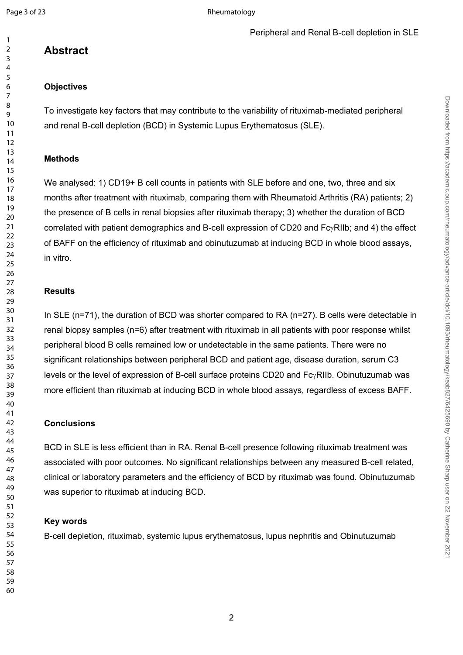### **Abstract**

#### **Objectives**

To investigate key factors that may contribute to the variability of rituximab-mediated peripheral and renal B-cell depletion (BCD) in Systemic Lupus Erythematosus (SLE).

#### **Methods**

We analysed: 1) CD19+ B cell counts in patients with SLE before and one, two, three and six months after treatment with rituximab, comparing them with Rheumatoid Arthritis (RA) patients; 2) the presence of B cells in renal biopsies after rituximab therapy; 3) whether the duration of BCD correlated with patient demographics and B-cell expression of CD20 and  $Fc<sub>Y</sub>RIIb$ ; and 4) the effect of BAFF on the efficiency of rituximab and obinutuzumab at inducing BCD in whole blood assays, in vitro.

### **Results**

In SLE (n=71), the duration of BCD was shorter compared to RA (n=27). B cells were detectable in renal biopsy samples (n=6) after treatment with rituximab in all patients with poor response whilst peripheral blood B cells remained low or undetectable in the same patients. There were no significant relationships between peripheral BCD and patient age, disease duration, serum C3 levels or the level of expression of B-cell surface proteins CD20 and  $Fc<sub>Y</sub>RIIb$ . Obinutuzumab was more efficient than rituximab at inducing BCD in whole blood assays, regardless of excess BAFF.

### **Conclusions**

BCD in SLE is less efficient than in RA. Renal B-cell presence following rituximab treatment was associated with poor outcomes. No significant relationships between any measured B-cell related, clinical or laboratory parameters and the efficiency of BCD by rituximab was found. Obinutuzumab was superior to rituximab at inducing BCD.

### **Key words**

B-cell depletion, rituximab, systemic lupus erythematosus, lupus nephritis and Obinutuzumab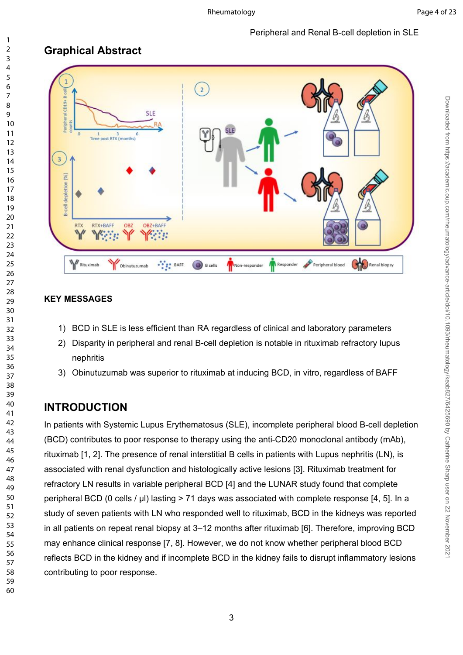#### Peripheral and Renal B-cell depletion in SLE

## **Graphical Abstract**



#### **KEY MESSAGES**

- 1) BCD in SLE is less efficient than RA regardless of clinical and laboratory parameters
- 2) Disparity in peripheral and renal B-cell depletion is notable in rituximab refractory lupus nephritis
- 3) Obinutuzumab was superior to rituximab at inducing BCD, in vitro, regardless of BAFF

### **INTRODUCTION**

In patients with Systemic Lupus Erythematosus (SLE), incomplete peripheral blood B-cell depletion (BCD) contributes to poor response to therapy using the anti-CD20 monoclonal antibody (mAb), rituximab [\[1,](#page-11-0) [2\]](#page-11-1). The presence of renal interstitial B cells in patients with Lupus nephritis (LN), is associated with renal dysfunction and histologically active lesions [\[3](#page-12-0)]. Rituximab treatment for refractory LN results in variable peripheral BCD [\[4](#page-12-1)] and the LUNAR study found that complete peripheral BCD (0 cells / µl) lasting > 71 days was associated with complete response [\[4](#page-12-1), [5\]](#page-12-2). In a study of seven patients with LN who responded well to rituximab, BCD in the kidneys was reported in all patients on repeat renal biopsy at 3–12 months after rituximab [[6\]](#page-12-3). Therefore, improving BCD may enhance clinical response [\[7](#page-12-4), [8\]](#page-12-5). However, we do not know whether peripheral blood BCD reflects BCD in the kidney and if incomplete BCD in the kidney fails to disrupt inflammatory lesions contributing to poor response.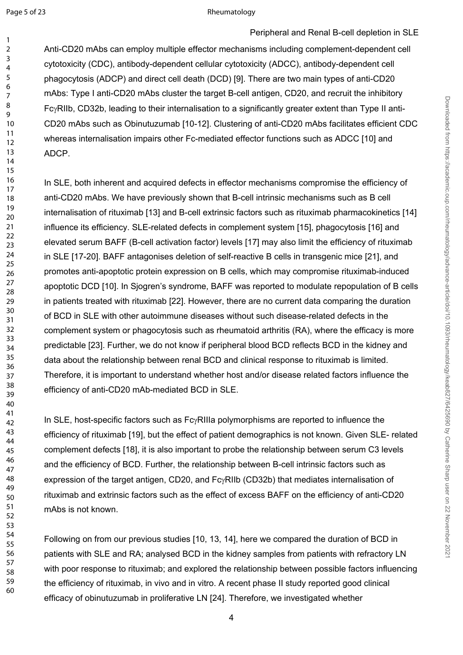#### Page 5 of 23 Rheumatology

Peripheral and Renal B-cell depletion in SLE

Anti-CD20 mAbs can employ multiple effector mechanisms including complement-dependent cell cytotoxicity (CDC), antibody-dependent cellular cytotoxicity (ADCC), antibody-dependent cell phagocytosis (ADCP) and direct cell death (DCD) [[9\]](#page-12-6). There are two main types of anti-CD20 mAbs: Type I anti-CD20 mAbs cluster the target B-cell antigen, CD20, and recruit the inhibitory Fc<sub>Y</sub>RIIb, CD32b, leading to their internalisation to a significantly greater extent than Type II anti-CD20 mAbs such as Obinutuzumab [[10-12\]](#page-12-7). Clustering of anti-CD20 mAbs facilitates efficient CDC whereas internalisation impairs other Fc-mediated effector functions such as ADCC [\[10](#page-12-7)] and ADCP.

In SLE, both inherent and acquired defects in effector mechanisms compromise the efficiency of anti-CD20 mAbs. We have previously shown that B-cell intrinsic mechanisms such as B cell internalisation of rituximab [[13\]](#page-12-8) and B-cell extrinsic factors such as rituximab pharmacokinetics [[14\]](#page-12-9) influence its efficiency. SLE-related defects in complement system [\[15](#page-12-10)], phagocytosis [[16\]](#page-12-11) and elevated serum BAFF (B-cell activation factor) levels [\[17\]](#page-12-12) may also limit the efficiency of rituximab in SLE [\[17-20](#page-12-12)]. BAFF antagonises deletion of self-reactive B cells in transgenic mice [\[21\]](#page-12-13), and promotes anti-apoptotic protein expression on B cells, which may compromise rituximab-induced apoptotic DCD [\[10\]](#page-12-7). In Sjogren's syndrome, BAFF was reported to modulate repopulation of B cells in patients treated with rituximab [[22\]](#page-13-0). However, there are no current data comparing the duration of BCD in SLE with other autoimmune diseases without such disease-related defects in the complement system or phagocytosis such as rheumatoid arthritis (RA), where the efficacy is more predictable [[23\]](#page-13-1). Further, we do not know if peripheral blood BCD reflects BCD in the kidney and data about the relationship between renal BCD and clinical response to rituximab is limited. Therefore, it is important to understand whether host and/or disease related factors influence the efficiency of anti-CD20 mAb-mediated BCD in SLE.

In SLE, host-specific factors such as  $Fc<sub>Y</sub>RIIIa$  polymorphisms are reported to influence the efficiency of rituximab [[19\]](#page-12-14), but the effect of patient demographics is not known. Given SLE- related complement defects [\[18](#page-12-15)], it is also important to probe the relationship between serum C3 levels and the efficiency of BCD. Further, the relationship between B-cell intrinsic factors such as expression of the target antigen, CD20, and  $Fc<sub>Y</sub>RIIb$  (CD32b) that mediates internalisation of rituximab and extrinsic factors such as the effect of excess BAFF on the efficiency of anti-CD20 mAbs is not known.

Following on from our previous studies [\[10](#page-12-7), [13,](#page-12-8) [14](#page-12-9)], here we compared the duration of BCD in patients with SLE and RA; analysed BCD in the kidney samples from patients with refractory LN with poor response to rituximab; and explored the relationship between possible factors influencing the efficiency of rituximab, in vivo and in vitro. A recent phase II study reported good clinical efficacy of obinutuzumab in proliferative LN [\[24](#page-13-2)]. Therefore, we investigated whether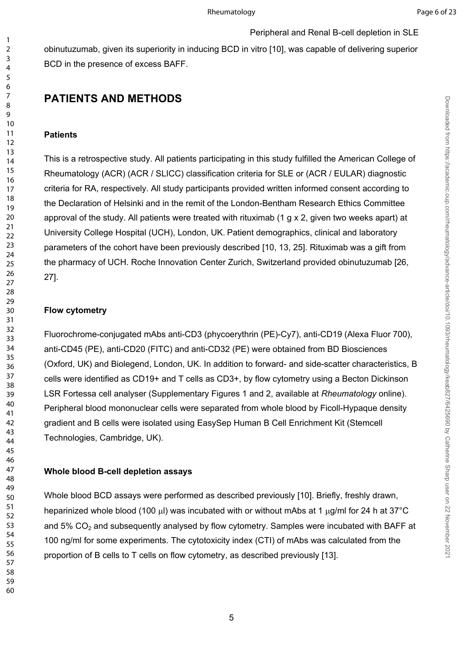Downloaded from https://academic.oup.com/rheumatology/advance-article/doi/10.1093/rheumatology/keab827/6425690 by Catherine Sharp user on 22 November 202 Downloaded from https://academic.oup.com/rheumatology/advance-article/doi/10.1093/rheumatology/keab827/6425690 by Catherine Sharp user on 22 November 2021

Peripheral and Renal B-cell depletion in SLE

obinutuzumab, given its superiority in inducing BCD in vitro [[10\]](#page-12-7), was capable of delivering superior BCD in the presence of excess BAFF.

### **PATIENTS AND METHODS**

#### **Patients**

This is a retrospective study. All patients participating in this study fulfilled the American College of Rheumatology (ACR) (ACR / SLICC) classification criteria for SLE or (ACR / EULAR) diagnostic criteria for RA, respectively. All study participants provided written informed consent according to the Declaration of Helsinki and in the remit of the London-Bentham Research Ethics Committee approval of the study. All patients were treated with rituximab (1 g x 2, given two weeks apart) at University College Hospital (UCH), London, UK. Patient demographics, clinical and laboratory parameters of the cohort have been previously described [\[10,](#page-12-7) [13,](#page-12-8) [25](#page-13-3)]. Rituximab was a gift from the pharmacy of UCH. Roche Innovation Center Zurich, Switzerland provided obinutuzumab [\[26,](#page-13-4) [27\]](#page-13-5).

#### **Flow cytometry**

Fluorochrome-conjugated mAbs anti-CD3 (phycoerythrin (PE)-Cy7), anti-CD19 (Alexa Fluor 700), anti-CD45 (PE), anti-CD20 (FITC) and anti-CD32 (PE) were obtained from BD Biosciences (Oxford, UK) and Biolegend, London, UK. In addition to forward- and side-scatter characteristics, B cells were identified as CD19+ and T cells as CD3+, by flow cytometry using a Becton Dickinson LSR Fortessa cell analyser (Supplementary Figures 1 and 2, available at *Rheumatology* online). Peripheral blood mononuclear cells were separated from whole blood by Ficoll-Hypaque density gradient and B cells were isolated using EasySep Human B Cell Enrichment Kit (Stemcell Technologies, Cambridge, UK).

#### **Whole blood B-cell depletion assays**

Whole blood BCD assays were performed as described previously [[10\]](#page-12-7). Briefly, freshly drawn, heparinized whole blood (100  $\mu$ ) was incubated with or without mAbs at 1  $\mu$ g/ml for 24 h at 37°C and  $5\%$  CO<sub>2</sub> and subsequently analysed by flow cytometry. Samples were incubated with BAFF at 100 ng/ml for some experiments. The cytotoxicity index (CTI) of mAbs was calculated from the proportion of B cells to T cells on flow cytometry, as described previously [[13](#page-12-8)].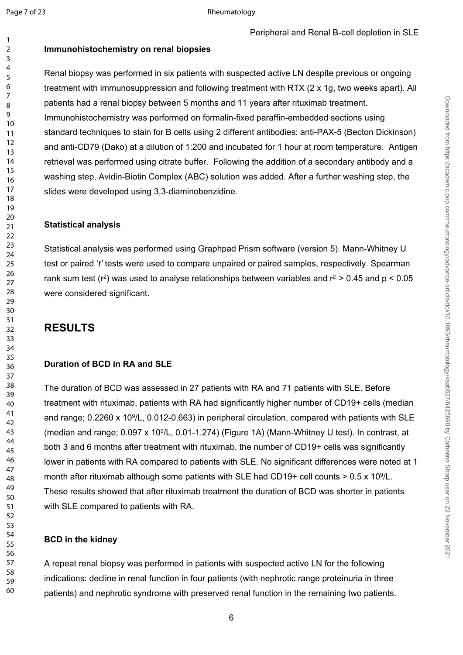### **Immunohistochemistry on renal biopsies**

Renal biopsy was performed in six patients with suspected active LN despite previous or ongoing treatment with immunosuppression and following treatment with RTX (2 x 1g, two weeks apart). All patients had a renal biopsy between 5 months and 11 years after rituximab treatment. Immunohistochemistry was performed on formalin-fixed paraffin-embedded sections using standard techniques to stain for B cells using 2 different antibodies: anti-PAX-5 (Becton Dickinson) and anti-CD79 (Dako) at a dilution of 1:200 and incubated for 1 hour at room temperature. Antigen retrieval was performed using citrate buffer. Following the addition of a secondary antibody and a washing step, Avidin-Biotin Complex (ABC) solution was added. After a further washing step, the slides were developed using 3,3-diaminobenzidine.

#### **Statistical analysis**

Statistical analysis was performed using Graphpad Prism software (version 5). Mann-Whitney U test or paired '*t'* tests were used to compare unpaired or paired samples, respectively. Spearman rank sum test ( $r^2$ ) was used to analyse relationships between variables and  $r^2 > 0.45$  and  $p < 0.05$ were considered significant.

### **RESULTS**

#### **Duration of BCD in RA and SLE**

The duration of BCD was assessed in 27 patients with RA and 71 patients with SLE. Before treatment with rituximab, patients with RA had significantly higher number of CD19+ cells (median and range; 0.2260 x 10<sup>9</sup>/L, 0.012-0.663) in peripheral circulation, compared with patients with SLE (median and range; 0.097 x 10<sup>9</sup>/L, 0.01-1.274) (Figure 1A) (Mann-Whitney U test). In contrast, at both 3 and 6 months after treatment with rituximab, the number of CD19+ cells was significantly lower in patients with RA compared to patients with SLE. No significant differences were noted at 1 month after rituximab although some patients with SLE had CD19+ cell counts  $> 0.5 \times 10^9$ /L. These results showed that after rituximab treatment the duration of BCD was shorter in patients with SLE compared to patients with RA.

#### **BCD in the kidney**

A repeat renal biopsy was performed in patients with suspected active LN for the following indications: decline in renal function in four patients (with nephrotic range proteinuria in three patients) and nephrotic syndrome with preserved renal function in the remaining two patients.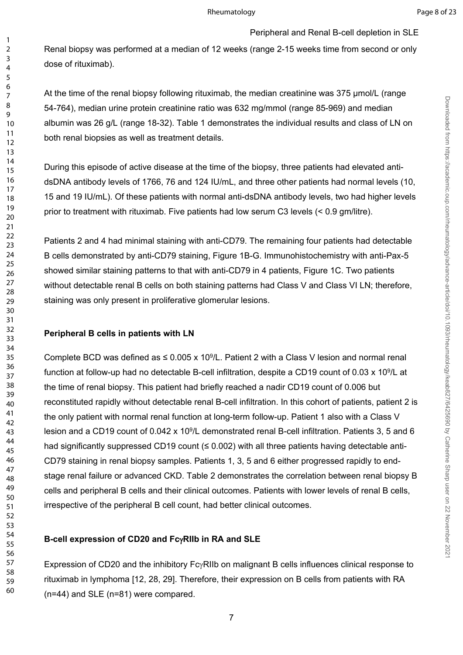Downloaded from https://academic.oup.com/rheumatology/advance-article/doi/10.1093/rheumatology/keab827/6425690 by Catherine Sharp user on 22 November 2021 Downloaded from https://academic.oup.com/rheumatology/advance-article/doi/10.1093/rheumatology/keab827/6425690 by Catherine Sharp user on 22 November 2021

Renal biopsy was performed at a median of 12 weeks (range 2-15 weeks time from second or only dose of rituximab).

Peripheral and Renal B-cell depletion in SLE

At the time of the renal biopsy following rituximab, the median creatinine was 375 μmol/L (range 54-764), median urine protein creatinine ratio was 632 mg/mmol (range 85-969) and median albumin was 26 g/L (range 18-32). Table 1 demonstrates the individual results and class of LN on both renal biopsies as well as treatment details.

During this episode of active disease at the time of the biopsy, three patients had elevated antidsDNA antibody levels of 1766, 76 and 124 IU/mL, and three other patients had normal levels (10, 15 and 19 IU/mL). Of these patients with normal anti-dsDNA antibody levels, two had higher levels prior to treatment with rituximab. Five patients had low serum C3 levels (< 0.9 gm/litre).

Patients 2 and 4 had minimal staining with anti-CD79. The remaining four patients had detectable B cells demonstrated by anti-CD79 staining, Figure 1B-G. Immunohistochemistry with anti-Pax-5 showed similar staining patterns to that with anti-CD79 in 4 patients, Figure 1C. Two patients without detectable renal B cells on both staining patterns had Class V and Class VI LN; therefore, staining was only present in proliferative glomerular lesions.

#### **Peripheral B cells in patients with LN**

Complete BCD was defined as  $\leq 0.005 \times 10^9$ /L. Patient 2 with a Class V lesion and normal renal function at follow-up had no detectable B-cell infiltration, despite a CD19 count of 0.03 x 10<sup>9</sup>/L at the time of renal biopsy. This patient had briefly reached a nadir CD19 count of 0.006 but reconstituted rapidly without detectable renal B-cell infiltration. In this cohort of patients, patient 2 is the only patient with normal renal function at long-term follow-up. Patient 1 also with a Class V lesion and a CD19 count of 0.042 x 10<sup>9</sup>/L demonstrated renal B-cell infiltration. Patients 3, 5 and 6 had significantly suppressed CD19 count (≤ 0.002) with all three patients having detectable anti-CD79 staining in renal biopsy samples. Patients 1, 3, 5 and 6 either progressed rapidly to endstage renal failure or advanced CKD. Table 2 demonstrates the correlation between renal biopsy B cells and peripheral B cells and their clinical outcomes. Patients with lower levels of renal B cells, irrespective of the peripheral B cell count, had better clinical outcomes.

#### **B-cell expression of CD20 and FcRIIb in RA and SLE**

Expression of CD20 and the inhibitory  $Fc\gamma RI$ Ib on malignant B cells influences clinical response to rituximab in lymphoma [[12](#page-12-16), [28](#page-13-6), [29\]](#page-13-7). Therefore, their expression on B cells from patients with RA (n=44) and SLE (n=81) were compared.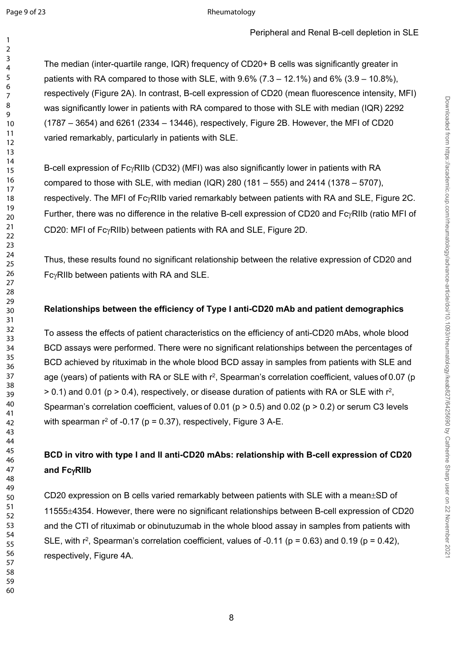The median (inter-quartile range, IQR) frequency of CD20+ B cells was significantly greater in patients with RA compared to those with SLE, with  $9.6\%$  ( $7.3 - 12.1\%$ ) and  $6\%$  ( $3.9 - 10.8\%$ ), respectively (Figure 2A). In contrast, B-cell expression of CD20 (mean fluorescence intensity, MFI) was significantly lower in patients with RA compared to those with SLE with median (IQR) 2292 (1787 – 3654) and 6261 (2334 – 13446), respectively, Figure 2B. However, the MFI of CD20 varied remarkably, particularly in patients with SLE.

B-cell expression of  $Fc<sub>Y</sub>RIIb$  (CD32) (MFI) was also significantly lower in patients with RA compared to those with SLE, with median (IQR) 280 (181 – 555) and 2414 (1378 – 5707), respectively. The MFI of  $Fc\gamma$ RIIb varied remarkably between patients with RA and SLE, Figure 2C. Further, there was no difference in the relative B-cell expression of CD20 and Fc $\gamma$ RIIb (ratio MFI of CD20: MFI of FcyRIIb) between patients with RA and SLE, Figure 2D.

Thus, these results found no significant relationship between the relative expression of CD20 and  $Fc<sub>Y</sub>RIIb$  between patients with RA and SLE.

#### **Relationships between the efficiency of Type I anti-CD20 mAb and patient demographics**

To assess the effects of patient characteristics on the efficiency of anti-CD20 mAbs, whole blood BCD assays were performed. There were no significant relationships between the percentages of BCD achieved by rituximab in the whole blood BCD assay in samples from patients with SLE and age (years) of patients with RA or SLE with r<sup>2</sup>, Spearman's correlation coefficient, values of 0.07 (p  $>$  0.1) and 0.01 (p  $>$  0.4), respectively, or disease duration of patients with RA or SLE with  $r^2$ , Spearman's correlation coefficient, values of 0.01 ( $p > 0.5$ ) and 0.02 ( $p > 0.2$ ) or serum C3 levels with spearman  $r^2$  of -0.17 (p = 0.37), respectively, Figure 3 A-E.

### **BCD in vitro with type I and II anti-CD20 mAbs: relationship with B-cell expression of CD20**  and Fc<sub> $\gamma$ RIIb</sub>

CD20 expression on B cells varied remarkably between patients with SLE with a mean $\pm$ SD of 4354. However, there were no significant relationships between B-cell expression of CD20 and the CTI of rituximab or obinutuzumab in the whole blood assay in samples from patients with SLE, with  $r^2$ , Spearman's correlation coefficient, values of -0.11 ( $p = 0.63$ ) and 0.19 ( $p = 0.42$ ), respectively, Figure 4A.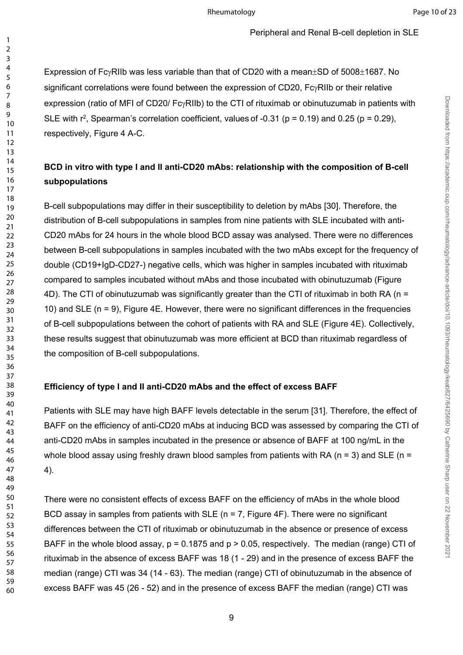Downloaded from https://academic.oup.com/rheumatology/advance-article/doi/10.1093/rheumatology/keab827/6425690 by Catherine Sharp user on 22 November 202 Downloaded from https://academic.oup.com/rheumatology/advance-article/doi/10.1093/rheumatology/keab827/6425690 by Catherine Sharp user on 22 November 2021

Expression of Fc $\gamma$ RIIb was less variable than that of CD20 with a mean $\pm$ SD of 5008 $\pm$ 1687. No significant correlations were found between the expression of CD20,  $Fc<sub>Y</sub>RIIb$  or their relative expression (ratio of MFI of CD20/  $Fc<sub>Y</sub>RIIb$ ) to the CTI of rituximab or obinutuzumab in patients with SLE with  $r^2$ , Spearman's correlation coefficient, values of -0.31 ( $p = 0.19$ ) and 0.25 ( $p = 0.29$ ), respectively, Figure 4 A-C.

### **BCD in vitro with type I and II anti-CD20 mAbs: relationship with the composition of B-cell subpopulations**

B-cell subpopulations may differ in their susceptibility to deletion by mAbs [[30](#page-13-8)]. Therefore, the distribution of B-cell subpopulations in samples from nine patients with SLE incubated with anti-CD20 mAbs for 24 hours in the whole blood BCD assay was analysed. There were no differences between B-cell subpopulations in samples incubated with the two mAbs except for the frequency of double (CD19+IgD-CD27-) negative cells, which was higher in samples incubated with rituximab compared to samples incubated without mAbs and those incubated with obinutuzumab (Figure 4D). The CTI of obinutuzumab was significantly greater than the CTI of rituximab in both RA (n = 10) and SLE (n = 9), Figure 4E. However, there were no significant differences in the frequencies of B-cell subpopulations between the cohort of patients with RA and SLE (Figure 4E). Collectively, these results suggest that obinutuzumab was more efficient at BCD than rituximab regardless of the composition of B-cell subpopulations.

### **Efficiency of type I and II anti-CD20 mAbs and the effect of excess BAFF**

Patients with SLE may have high BAFF levels detectable in the serum [\[31\]](#page-13-9). Therefore, the effect of BAFF on the efficiency of anti-CD20 mAbs at inducing BCD was assessed by comparing the CTI of anti-CD20 mAbs in samples incubated in the presence or absence of BAFF at 100 ng/mL in the whole blood assay using freshly drawn blood samples from patients with RA ( $n = 3$ ) and SLE ( $n =$ 4).

There were no consistent effects of excess BAFF on the efficiency of mAbs in the whole blood BCD assay in samples from patients with SLE ( $n = 7$ , Figure 4F). There were no significant differences between the CTI of rituximab or obinutuzumab in the absence or presence of excess BAFF in the whole blood assay,  $p = 0.1875$  and  $p > 0.05$ , respectively. The median (range) CTI of rituximab in the absence of excess BAFF was 18 (1 - 29) and in the presence of excess BAFF the median (range) CTI was 34 (14 - 63). The median (range) CTI of obinutuzumab in the absence of excess BAFF was 45 (26 - 52) and in the presence of excess BAFF the median (range) CTI was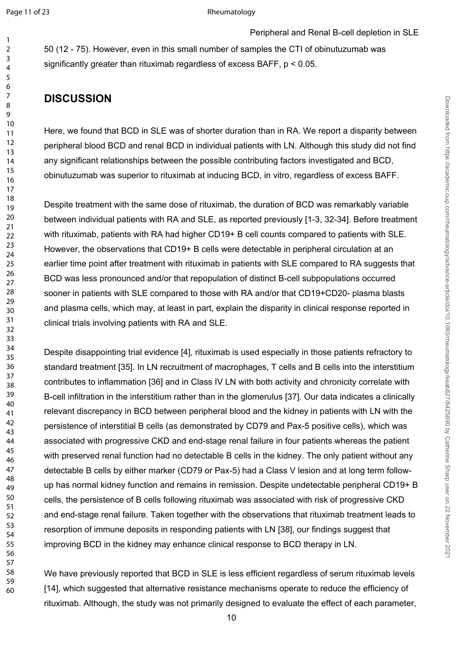50 (12 - 75). However, even in this small number of samples the CTI of obinutuzumab was significantly greater than rituximab regardless of excess BAFF, p < 0.05.

# **DISCUSSION**

Here, we found that BCD in SLE was of shorter duration than in RA. We report a disparity between peripheral blood BCD and renal BCD in individual patients with LN. Although this study did not find any significant relationships between the possible contributing factors investigated and BCD, obinutuzumab was superior to rituximab at inducing BCD, in vitro, regardless of excess BAFF.

Despite treatment with the same dose of rituximab, the duration of BCD was remarkably variable between individual patients with RA and SLE, as reported previously [\[1-3](#page-11-0), [32-34\]](#page-13-10). Before treatment with rituximab, patients with RA had higher CD19+ B cell counts compared to patients with SLE. However, the observations that CD19+ B cells were detectable in peripheral circulation at an earlier time point after treatment with rituximab in patients with SLE compared to RA suggests that BCD was less pronounced and/or that repopulation of distinct B-cell subpopulations occurred sooner in patients with SLE compared to those with RA and/or that CD19+CD20- plasma blasts and plasma cells, which may, at least in part, explain the disparity in clinical response reported in clinical trials involving patients with RA and SLE.

Despite disappointing trial evidence [[4\]](#page-12-1), rituximab is used especially in those patients refractory to standard treatment [\[35](#page-13-11)]. In LN recruitment of macrophages, T cells and B cells into the interstitium contributes to inflammation [\[36](#page-13-12)] and in Class IV LN with both activity and chronicity correlate with B-cell infiltration in the interstitium rather than in the glomerulus [[37\]](#page-13-13). Our data indicates a clinically relevant discrepancy in BCD between peripheral blood and the kidney in patients with LN with the persistence of interstitial B cells (as demonstrated by CD79 and Pax-5 positive cells), which was associated with progressive CKD and end-stage renal failure in four patients whereas the patient with preserved renal function had no detectable B cells in the kidney. The only patient without any detectable B cells by either marker (CD79 or Pax-5) had a Class V lesion and at long term followup has normal kidney function and remains in remission. Despite undetectable peripheral CD19+ B cells, the persistence of B cells following rituximab was associated with risk of progressive CKD and end-stage renal failure. Taken together with the observations that rituximab treatment leads to resorption of immune deposits in responding patients with LN [[38\]](#page-13-14), our findings suggest that improving BCD in the kidney may enhance clinical response to BCD therapy in LN.

We have previously reported that BCD in SLE is less efficient regardless of serum rituximab levels [[14\]](#page-12-9), which suggested that alternative resistance mechanisms operate to reduce the efficiency of rituximab. Although, the study was not primarily designed to evaluate the effect of each parameter,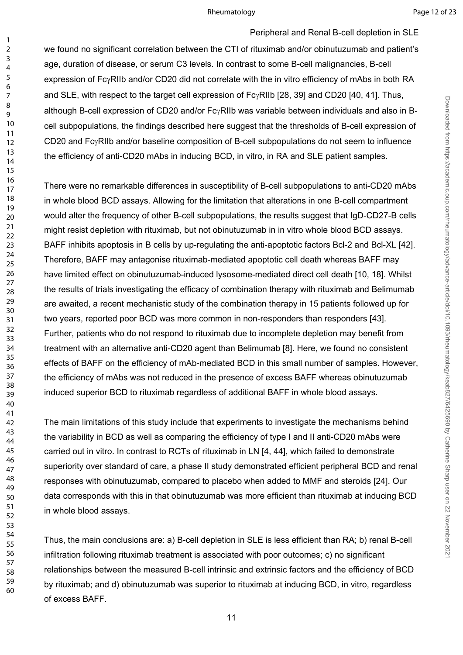#### Rheumatology **Page 12 of 23**

Downloaded from https://academic.oup.com/rheumatology/advance-article/doi/10.1093/rheumatology/keab827/6425690 by Catherine Sharp user on 22 November 202 Downloaded from https://academic.oup.com/rheumatology/advance-article/doi/10.1093/rheumatology/keab827/6425690 by Catherine Sharp user on 22 November 2021

Peripheral and Renal B-cell depletion in SLE we found no significant correlation between the CTI of rituximab and/or obinutuzumab and patient's age, duration of disease, or serum C3 levels. In contrast to some B-cell malignancies, B-cell expression of FcyRIIb and/or CD20 did not correlate with the in vitro efficiency of mAbs in both RA and SLE, with respect to the target cell expression of FcyRIIb [[28,](#page-13-6) [39](#page-13-15)] and CD20 [[40](#page-13-16), [41\]](#page-14-0). Thus, although B-cell expression of CD20 and/or FcyRIIb was variable between individuals and also in Bcell subpopulations, the findings described here suggest that the thresholds of B-cell expression of CD20 and FcyRIIb and/or baseline composition of B-cell subpopulations do not seem to influence the efficiency of anti-CD20 mAbs in inducing BCD, in vitro, in RA and SLE patient samples.

There were no remarkable differences in susceptibility of B-cell subpopulations to anti-CD20 mAbs in whole blood BCD assays. Allowing for the limitation that alterations in one B-cell compartment would alter the frequency of other B-cell subpopulations, the results suggest that IgD-CD27-B cells might resist depletion with rituximab, but not obinutuzumab in in vitro whole blood BCD assays. BAFF inhibits apoptosis in B cells by up-regulating the anti-apoptotic factors Bcl-2 and Bcl-XL [[42](#page-14-1)]. Therefore, BAFF may antagonise rituximab-mediated apoptotic cell death whereas BAFF may have limited effect on obinutuzumab-induced lysosome-mediated direct cell death [[10,](#page-12-7) [18](#page-12-15)]. Whilst the results of trials investigating the efficacy of combination therapy with rituximab and Belimumab are awaited, a recent mechanistic study of the combination therapy in 15 patients followed up for two years, reported poor BCD was more common in non-responders than responders [[43\]](#page-14-2). Further, patients who do not respond to rituximab due to incomplete depletion may benefit from treatment with an alternative anti-CD20 agent than Belimumab [[8\]](#page-12-5). Here, we found no consistent effects of BAFF on the efficiency of mAb-mediated BCD in this small number of samples. However, the efficiency of mAbs was not reduced in the presence of excess BAFF whereas obinutuzumab induced superior BCD to rituximab regardless of additional BAFF in whole blood assays.

The main limitations of this study include that experiments to investigate the mechanisms behind the variability in BCD as well as comparing the efficiency of type I and II anti-CD20 mAbs were carried out in vitro. In contrast to RCTs of rituximab in LN [[4,](#page-12-1) [44](#page-14-3)], which failed to demonstrate superiority over standard of care, a phase II study demonstrated efficient peripheral BCD and renal responses with obinutuzumab, compared to placebo when added to MMF and steroids [\[24\]](#page-13-2). Our data corresponds with this in that obinutuzumab was more efficient than rituximab at inducing BCD in whole blood assays.

Thus, the main conclusions are: a) B-cell depletion in SLE is less efficient than RA; b) renal B-cell infiltration following rituximab treatment is associated with poor outcomes; c) no significant relationships between the measured B-cell intrinsic and extrinsic factors and the efficiency of BCD by rituximab; and d) obinutuzumab was superior to rituximab at inducing BCD, in vitro, regardless of excess BAFF.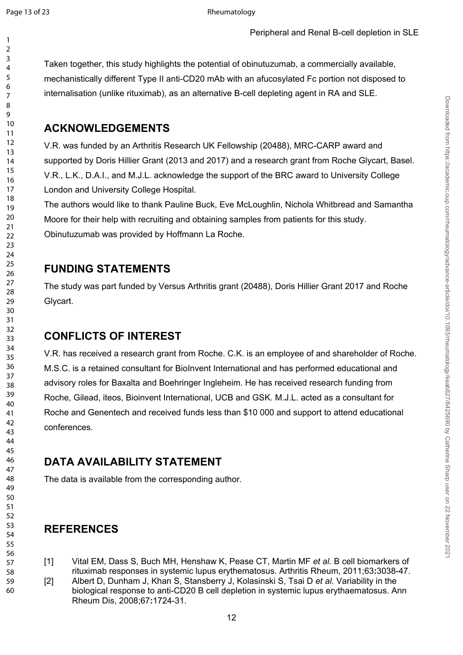Taken together, this study highlights the potential of obinutuzumab, a commercially available, mechanistically different Type II anti-CD20 mAb with an afucosylated Fc portion not disposed to internalisation (unlike rituximab), as an alternative B-cell depleting agent in RA and SLE.

### **ACKNOWLEDGEMENTS**

V.R. was funded by an Arthritis Research UK Fellowship (20488), MRC-CARP award and supported by Doris Hillier Grant (2013 and 2017) and a research grant from Roche Glycart, Basel. V.R., L.K., D.A.I., and M.J.L. acknowledge the support of the BRC award to University College London and University College Hospital.

The authors would like to thank Pauline Buck, Eve McLoughlin, Nichola Whitbread and Samantha Moore for their help with recruiting and obtaining samples from patients for this study. Obinutuzumab was provided by Hoffmann La Roche.

### **FUNDING STATEMENTS**

The study was part funded by Versus Arthritis grant (20488), Doris Hillier Grant 2017 and Roche Glycart.

### **CONFLICTS OF INTEREST**

V.R. has received a research grant from Roche. C.K. is an employee of and shareholder of Roche. M.S.C. is a retained consultant for BioInvent International and has performed educational and advisory roles for Baxalta and Boehringer Ingleheim. He has received research funding from Roche, Gilead, iteos, Bioinvent International, UCB and GSK. M.J.L. acted as a consultant for Roche and Genentech and received funds less than \$10 000 and support to attend educational conferences.

### **DATA AVAILABILITY STATEMENT**

The data is available from the corresponding author.

### **REFERENCES**

- <span id="page-11-0"></span>[1] Vital EM, Dass S, Buch MH, Henshaw K, Pease CT, Martin MF *et al.* B cell biomarkers of rituximab responses in systemic lupus erythematosus. Arthritis Rheum, 2011;63**:**3038-47.
- <span id="page-11-1"></span>[2] Albert D, Dunham J, Khan S, Stansberry J, Kolasinski S, Tsai D *et al.* Variability in the biological response to anti-CD20 B cell depletion in systemic lupus erythaematosus. Ann Rheum Dis, 2008;67**:**1724-31.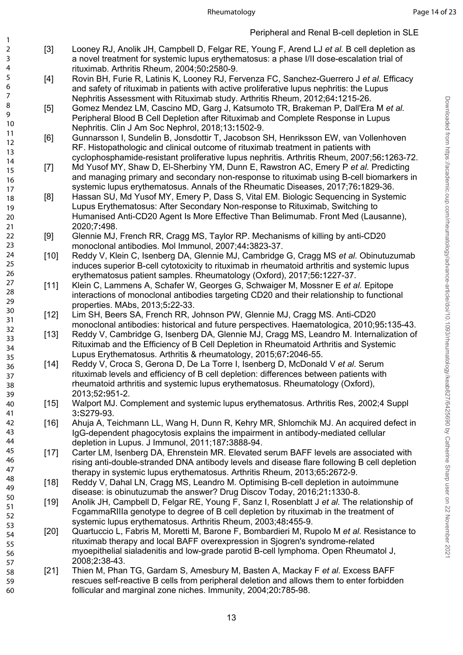<span id="page-12-0"></span>[3] Looney RJ, Anolik JH, Campbell D, Felgar RE, Young F, Arend LJ *et al.* B cell depletion as a novel treatment for systemic lupus erythematosus: a phase I/II dose-escalation trial of rituximab. Arthritis Rheum, 2004;50**:**2580-9.

- <span id="page-12-1"></span>[4] Rovin BH, Furie R, Latinis K, Looney RJ, Fervenza FC, Sanchez-Guerrero J *et al.* Efficacy and safety of rituximab in patients with active proliferative lupus nephritis: the Lupus Nephritis Assessment with Rituximab study. Arthritis Rheum, 2012;64**:**1215-26.
- <span id="page-12-2"></span>[5] Gomez Mendez LM, Cascino MD, Garg J, Katsumoto TR, Brakeman P, Dall'Era M *et al.* Peripheral Blood B Cell Depletion after Rituximab and Complete Response in Lupus Nephritis. Clin J Am Soc Nephrol, 2018;13**:**1502-9.
- <span id="page-12-3"></span>[6] Gunnarsson I, Sundelin B, Jonsdottir T, Jacobson SH, Henriksson EW, van Vollenhoven RF. Histopathologic and clinical outcome of rituximab treatment in patients with cyclophosphamide-resistant proliferative lupus nephritis. Arthritis Rheum, 2007;56**:**1263-72.
- <span id="page-12-4"></span>[7] Md Yusof MY, Shaw D, El-Sherbiny YM, Dunn E, Rawstron AC, Emery P *et al.* Predicting and managing primary and secondary non-response to rituximab using B-cell biomarkers in systemic lupus erythematosus. Annals of the Rheumatic Diseases, 2017;76**:**1829-36.
- <span id="page-12-5"></span>[8] Hassan SU, Md Yusof MY, Emery P, Dass S, Vital EM. Biologic Sequencing in Systemic Lupus Erythematosus: After Secondary Non-response to Rituximab, Switching to Humanised Anti-CD20 Agent Is More Effective Than Belimumab. Front Med (Lausanne), 2020;7**:**498.
- <span id="page-12-6"></span>[9] Glennie MJ, French RR, Cragg MS, Taylor RP. Mechanisms of killing by anti-CD20 monoclonal antibodies. Mol Immunol, 2007;44**:**3823-37.
- <span id="page-12-7"></span>[10] Reddy V, Klein C, Isenberg DA, Glennie MJ, Cambridge G, Cragg MS *et al.* Obinutuzumab induces superior B-cell cytotoxicity to rituximab in rheumatoid arthritis and systemic lupus erythematosus patient samples. Rheumatology (Oxford), 2017;56**:**1227-37.
- [11] Klein C, Lammens A, Schafer W, Georges G, Schwaiger M, Mossner E *et al.* Epitope interactions of monoclonal antibodies targeting CD20 and their relationship to functional properties. MAbs, 2013;5**:**22-33.
- <span id="page-12-16"></span>[12] Lim SH, Beers SA, French RR, Johnson PW, Glennie MJ, Cragg MS. Anti-CD20 monoclonal antibodies: historical and future perspectives. Haematologica, 2010;95**:**135-43.
- <span id="page-12-8"></span>[13] Reddy V, Cambridge G, Isenberg DA, Glennie MJ, Cragg MS, Leandro M. Internalization of Rituximab and the Efficiency of B Cell Depletion in Rheumatoid Arthritis and Systemic Lupus Erythematosus. Arthritis & rheumatology, 2015;67**:**2046-55.
- <span id="page-12-9"></span>[14] Reddy V, Croca S, Gerona D, De La Torre I, Isenberg D, McDonald V *et al.* Serum rituximab levels and efficiency of B cell depletion: differences between patients with rheumatoid arthritis and systemic lupus erythematosus. Rheumatology (Oxford), 2013;52**:**951-2.
- <span id="page-12-10"></span>[15] Walport MJ. Complement and systemic lupus erythematosus. Arthritis Res, 2002;4 Suppl 3**:**S279-93.
- <span id="page-12-11"></span>[16] Ahuja A, Teichmann LL, Wang H, Dunn R, Kehry MR, Shlomchik MJ. An acquired defect in IgG-dependent phagocytosis explains the impairment in antibody-mediated cellular depletion in Lupus. J Immunol, 2011;187**:**3888-94.
- <span id="page-12-12"></span>[17] Carter LM, Isenberg DA, Ehrenstein MR. Elevated serum BAFF levels are associated with rising anti-double-stranded DNA antibody levels and disease flare following B cell depletion therapy in systemic lupus erythematosus. Arthritis Rheum, 2013;65**:**2672-9.
- <span id="page-12-15"></span>[18] Reddy V, Dahal LN, Cragg MS, Leandro M. Optimising B-cell depletion in autoimmune disease: is obinutuzumab the answer? Drug Discov Today, 2016;21**:**1330-8.
- <span id="page-12-14"></span>[19] Anolik JH, Campbell D, Felgar RE, Young F, Sanz I, Rosenblatt J *et al.* The relationship of FcgammaRIIIa genotype to degree of B cell depletion by rituximab in the treatment of systemic lupus erythematosus. Arthritis Rheum, 2003;48**:**455-9.
- [20] Quartuccio L, Fabris M, Moretti M, Barone F, Bombardieri M, Rupolo M *et al.* Resistance to rituximab therapy and local BAFF overexpression in Sjogren's syndrome-related myoepithelial sialadenitis and low-grade parotid B-cell lymphoma. Open Rheumatol J, 2008;2**:**38-43.
- <span id="page-12-13"></span>[21] Thien M, Phan TG, Gardam S, Amesbury M, Basten A, Mackay F *et al.* Excess BAFF rescues self-reactive B cells from peripheral deletion and allows them to enter forbidden follicular and marginal zone niches. Immunity, 2004;20**:**785-98.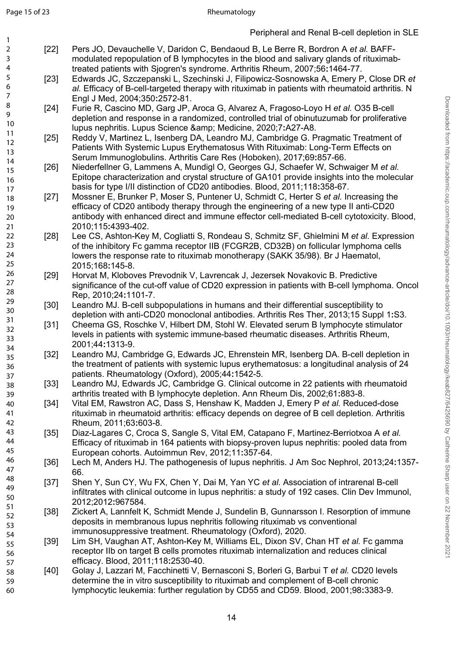<span id="page-13-13"></span>47

- <span id="page-13-0"></span>[22] Pers JO, Devauchelle V, Daridon C, Bendaoud B, Le Berre R, Bordron A *et al.* BAFFmodulated repopulation of B lymphocytes in the blood and salivary glands of rituximabtreated patients with Sjogren's syndrome. Arthritis Rheum, 2007;56**:**1464-77.
- <span id="page-13-1"></span>[23] Edwards JC, Szczepanski L, Szechinski J, Filipowicz-Sosnowska A, Emery P, Close DR *et al.* Efficacy of B-cell-targeted therapy with rituximab in patients with rheumatoid arthritis. N Engl J Med, 2004;350**:**2572-81.
- <span id="page-13-2"></span>[24] Furie R, Cascino MD, Garg JP, Aroca G, Alvarez A, Fragoso-Loyo H *et al.* O35 B-cell depletion and response in a randomized, controlled trial of obinutuzumab for proliferative lupus nephritis. Lupus Science & amp; Medicine, 2020;7:A27-A8.
- <span id="page-13-3"></span>[25] Reddy V, Martinez L, Isenberg DA, Leandro MJ, Cambridge G. Pragmatic Treatment of Patients With Systemic Lupus Erythematosus With Rituximab: Long-Term Effects on Serum Immunoglobulins. Arthritis Care Res (Hoboken), 2017;69**:**857-66.
- <span id="page-13-4"></span>[26] Niederfellner G, Lammens A, Mundigl O, Georges GJ, Schaefer W, Schwaiger M *et al.* Epitope characterization and crystal structure of GA101 provide insights into the molecular basis for type I/II distinction of CD20 antibodies. Blood, 2011;118**:**358-67.
- <span id="page-13-5"></span>[27] Mossner E, Brunker P, Moser S, Puntener U, Schmidt C, Herter S *et al.* Increasing the efficacy of CD20 antibody therapy through the engineering of a new type II anti-CD20 antibody with enhanced direct and immune effector cell-mediated B-cell cytotoxicity. Blood, 2010;115**:**4393-402.
- <span id="page-13-7"></span><span id="page-13-6"></span>[28] Lee CS, Ashton-Key M, Cogliatti S, Rondeau S, Schmitz SF, Ghielmini M *et al.* Expression of the inhibitory Fc gamma receptor IIB (FCGR2B, CD32B) on follicular lymphoma cells lowers the response rate to rituximab monotherapy (SAKK 35/98). Br J Haematol, 2015;168**:**145-8.
	- [29] Horvat M, Kloboves Prevodnik V, Lavrencak J, Jezersek Novakovic B. Predictive significance of the cut-off value of CD20 expression in patients with B-cell lymphoma. Oncol Rep, 2010;24**:**1101-7.
	- [30] Leandro MJ. B-cell subpopulations in humans and their differential susceptibility to depletion with anti-CD20 monoclonal antibodies. Arthritis Res Ther, 2013;15 Suppl 1**:**S3.
	- [31] Cheema GS, Roschke V, Hilbert DM, Stohl W. Elevated serum B lymphocyte stimulator levels in patients with systemic immune-based rheumatic diseases. Arthritis Rheum, 2001;44**:**1313-9.
- <span id="page-13-10"></span><span id="page-13-9"></span><span id="page-13-8"></span>[32] Leandro MJ, Cambridge G, Edwards JC, Ehrenstein MR, Isenberg DA. B-cell depletion in the treatment of patients with systemic lupus erythematosus: a longitudinal analysis of 24 patients. Rheumatology (Oxford), 2005;44**:**1542-5.
- [33] Leandro MJ, Edwards JC, Cambridge G. Clinical outcome in 22 patients with rheumatoid arthritis treated with B lymphocyte depletion. Ann Rheum Dis, 2002;61**:**883-8.
- [34] Vital EM, Rawstron AC, Dass S, Henshaw K, Madden J, Emery P *et al.* Reduced-dose rituximab in rheumatoid arthritis: efficacy depends on degree of B cell depletion. Arthritis Rheum, 2011;63**:**603-8.
- <span id="page-13-11"></span>[35] Diaz-Lagares C, Croca S, Sangle S, Vital EM, Catapano F, Martinez-Berriotxoa A *et al.* Efficacy of rituximab in 164 patients with biopsy-proven lupus nephritis: pooled data from European cohorts. Autoimmun Rev, 2012;11**:**357-64.
- <span id="page-13-12"></span>[36] Lech M, Anders HJ. The pathogenesis of lupus nephritis. J Am Soc Nephrol, 2013;24**:**1357- 66. 46 48
	- [37] Shen Y, Sun CY, Wu FX, Chen Y, Dai M, Yan YC *et al.* Association of intrarenal B-cell infiltrates with clinical outcome in lupus nephritis: a study of 192 cases. Clin Dev Immunol, 2012;2012**:**967584.
	- [38] Zickert A, Lannfelt K, Schmidt Mende J, Sundelin B, Gunnarsson I. Resorption of immune deposits in membranous lupus nephritis following rituximab vs conventional immunosuppressive treatment. Rheumatology (Oxford), 2020.
- <span id="page-13-15"></span><span id="page-13-14"></span>[39] Lim SH, Vaughan AT, Ashton-Key M, Williams EL, Dixon SV, Chan HT *et al.* Fc gamma receptor IIb on target B cells promotes rituximab internalization and reduces clinical efficacy. Blood, 2011;118**:**2530-40. 54 56
- <span id="page-13-16"></span>[40] Golay J, Lazzari M, Facchinetti V, Bernasconi S, Borleri G, Barbui T *et al.* CD20 levels determine the in vitro susceptibility to rituximab and complement of B-cell chronic lymphocytic leukemia: further regulation by CD55 and CD59. Blood, 2001;98**:**3383-9. 57 58 59 60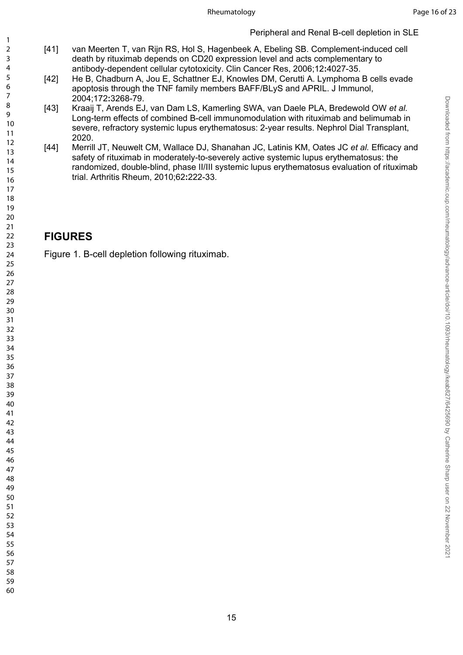### Peripheral and Renal B-cell depletion in SLE

- <span id="page-14-0"></span>[41] van Meerten T, van Rijn RS, Hol S, Hagenbeek A, Ebeling SB. Complement-induced cell death by rituximab depends on CD20 expression level and acts complementary to antibody-dependent cellular cytotoxicity. Clin Cancer Res, 2006;12**:**4027-35.
- <span id="page-14-1"></span>[42] He B, Chadburn A, Jou E, Schattner EJ, Knowles DM, Cerutti A. Lymphoma B cells evade apoptosis through the TNF family members BAFF/BLyS and APRIL. J Immunol, 2004;172**:**3268-79.
- <span id="page-14-2"></span>[43] Kraaij T, Arends EJ, van Dam LS, Kamerling SWA, van Daele PLA, Bredewold OW *et al.* Long-term effects of combined B-cell immunomodulation with rituximab and belimumab in severe, refractory systemic lupus erythematosus: 2-year results. Nephrol Dial Transplant, 2020.
- <span id="page-14-3"></span>[44] Merrill JT, Neuwelt CM, Wallace DJ, Shanahan JC, Latinis KM, Oates JC *et al.* Efficacy and safety of rituximab in moderately-to-severely active systemic lupus erythematosus: the randomized, double-blind, phase II/III systemic lupus erythematosus evaluation of rituximab trial. Arthritis Rheum, 2010;62**:**222-33.

### **FIGURES**

Figure 1. B-cell depletion following rituximab.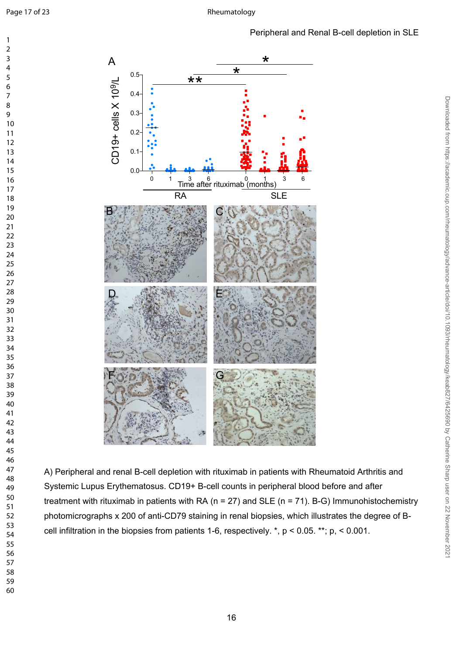

A) Peripheral and renal B-cell depletion with rituximab in patients with Rheumatoid Arthritis and Systemic Lupus Erythematosus. CD19+ B-cell counts in peripheral blood before and after treatment with rituximab in patients with RA ( $n = 27$ ) and SLE ( $n = 71$ ). B-G) Immunohistochemistry photomicrographs x 200 of anti-CD79 staining in renal biopsies, which illustrates the degree of Bcell infiltration in the biopsies from patients 1-6, respectively. \*, p < 0.05. \*\*; p, < 0.001.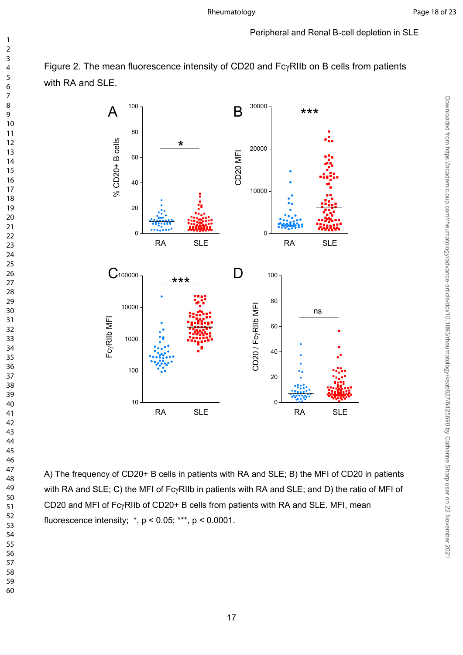Downloaded from https://academic.oup.com/rheumatology/advance-article/doi/10.1093/rheumatology/keab827/6425690 by Catherine Sharp user on 22 November 2021

#### Peripheral and Renal B-cell depletion in SLE





A) The frequency of CD20+ B cells in patients with RA and SLE; B) the MFI of CD20 in patients with RA and SLE; C) the MFI of Fc $\gamma$ RIIb in patients with RA and SLE; and D) the ratio of MFI of CD20 and MFI of  $Fc<sub>Y</sub>RIIb$  of CD20+ B cells from patients with RA and SLE. MFI, mean fluorescence intensity;  $\dot{r}$ ,  $p$  < 0.05;  $\dot{r}$ ,  $p$  < 0.0001.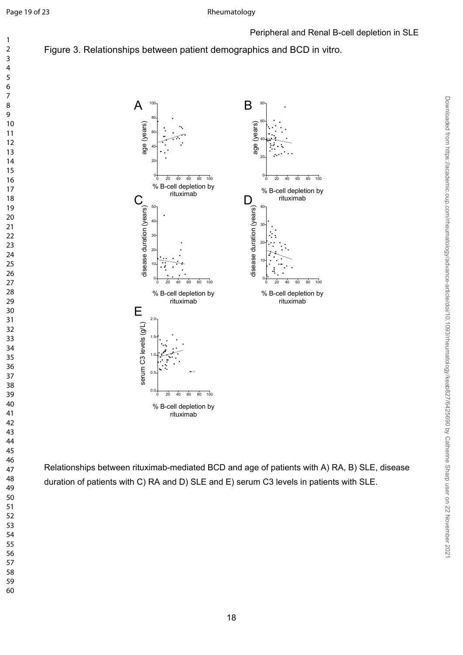### Figure 3. Relationships between patient demographics and BCD in vitro.



Relationships between rituximab-mediated BCD and age of patients with A) RA, B) SLE, disease duration of patients with C) RA and D) SLE and E) serum C3 levels in patients with SLE.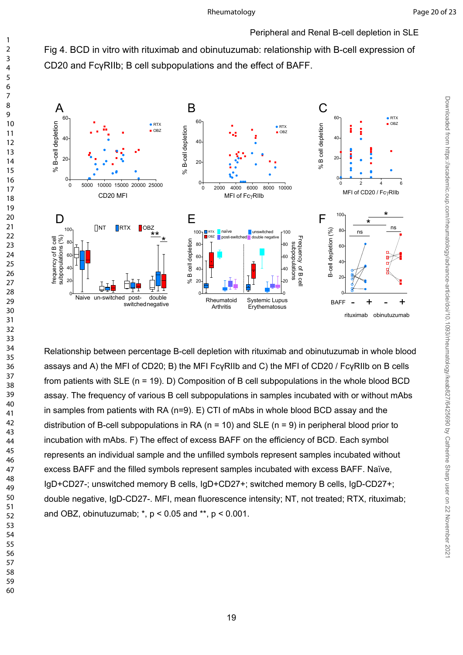Peripheral and Renal B-cell depletion in SLE

Fig 4. BCD in vitro with rituximab and obinutuzumab: relationship with B-cell expression of CD20 and FcγRIIb; B cell subpopulations and the effect of BAFF.



Relationship between percentage B-cell depletion with rituximab and obinutuzumab in whole blood assays and A) the MFI of CD20; B) the MFI FcγRIIb and C) the MFI of CD20 / FcγRIIb on B cells from patients with SLE (n = 19). D) Composition of B cell subpopulations in the whole blood BCD assay. The frequency of various B cell subpopulations in samples incubated with or without mAbs in samples from patients with RA (n=9). E) CTI of mAbs in whole blood BCD assay and the distribution of B-cell subpopulations in RA ( $n = 10$ ) and SLE ( $n = 9$ ) in peripheral blood prior to incubation with mAbs. F) The effect of excess BAFF on the efficiency of BCD. Each symbol represents an individual sample and the unfilled symbols represent samples incubated without excess BAFF and the filled symbols represent samples incubated with excess BAFF. Naïve, IgD+CD27-; unswitched memory B cells, IgD+CD27+; switched memory B cells, IgD-CD27+; double negative, IgD-CD27-. MFI, mean fluorescence intensity; NT, not treated; RTX, rituximab; and OBZ, obinutuzumab;  $\ast$ ,  $p < 0.05$  and  $\ast\ast$ ,  $p < 0.001$ .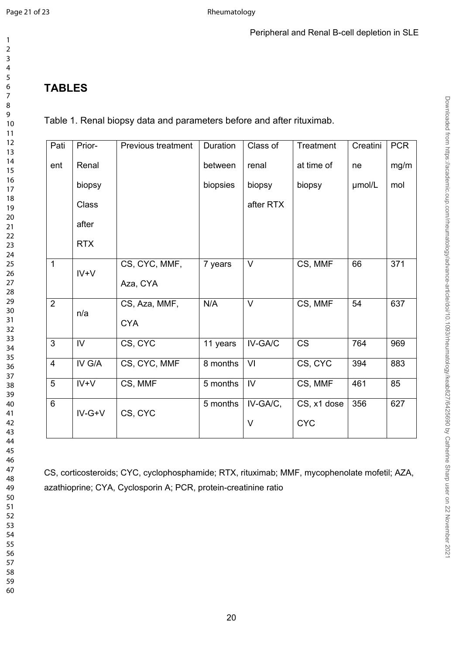### **TABLES**

Table 1. Renal biopsy data and parameters before and after rituximab.

| Pati           | Prior-         | Previous treatment | Duration | Class of               | Treatment   | Creatini | <b>PCR</b> |
|----------------|----------------|--------------------|----------|------------------------|-------------|----------|------------|
| ent            | Renal          |                    | between  | renal                  | at time of  | ne       | mg/m       |
|                | biopsy         |                    | biopsies | biopsy                 | biopsy      | umol/L   | mol        |
|                | Class          |                    |          | after RTX              |             |          |            |
|                | after          |                    |          |                        |             |          |            |
|                | <b>RTX</b>     |                    |          |                        |             |          |            |
| $\mathbf{1}$   | $IV+V$         | CS, CYC, MMF,      | 7 years  | V                      | CS, MMF     | 66       | 371        |
|                |                | Aza, CYA           |          |                        |             |          |            |
| $\overline{2}$ | n/a            | CS, Aza, MMF,      | N/A      | V                      | CS, MMF     | 54       | 637        |
|                |                | <b>CYA</b>         |          |                        |             |          |            |
| $\overline{3}$ | $\overline{W}$ | CS, CYC            | 11 years | IV-GA/C                | CS          | 764      | 969        |
| $\overline{4}$ | IV G/A         | CS, CYC, MMF       | 8 months | VI                     | CS, CYC     | 394      | 883        |
| 5              | $IV+V$         | CS, MMF            | 5 months | $\mathsf{I}\mathsf{V}$ | CS, MMF     | 461      | 85         |
| 6              | $IV-G+V$       | CS, CYC            | 5 months | IV-GA/C,               | CS, x1 dose | 356      | 627        |
|                |                |                    |          | $\vee$                 | <b>CYC</b>  |          |            |

CS, corticosteroids; CYC, cyclophosphamide; RTX, rituximab; MMF, mycophenolate mofetil; AZA, azathioprine; CYA, Cyclosporin A; PCR, protein-creatinine ratio